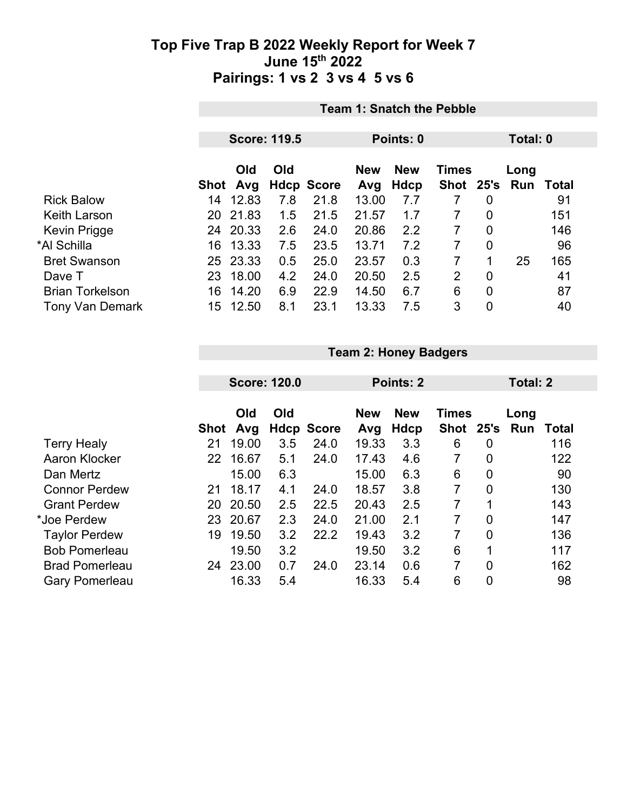|                        |     | <b>Team 1: Snatch the Pebble</b> |                     |                   |           |            |                |                |      |       |  |
|------------------------|-----|----------------------------------|---------------------|-------------------|-----------|------------|----------------|----------------|------|-------|--|
|                        |     |                                  | <b>Score: 119.5</b> |                   |           | Total: 0   |                |                |      |       |  |
|                        |     |                                  |                     |                   | Points: 0 |            |                |                |      |       |  |
|                        |     | Old<br>Old                       |                     |                   |           | <b>New</b> | <b>Times</b>   |                | Long |       |  |
|                        |     | Shot Avg                         |                     | <b>Hdcp Score</b> | Avg       | Hdcp       | Shot 25's      |                | Run  | Total |  |
| <b>Rick Balow</b>      | 14  | 12.83                            | 7.8                 | 21.8              | 13.00     | 7.7        |                | 0              |      | 91    |  |
| Keith Larson           | 20  | 21.83                            | 1.5                 | 21.5              | 21.57     | 1.7        | 7              | $\overline{0}$ |      | 151   |  |
| Kevin Prigge           | 24  | 20.33                            | 2.6                 | 24.0              | 20.86     | 2.2        | 7              | 0              |      | 146   |  |
| *Al Schilla            | 16  | 13.33                            | 7.5                 | 23.5              | 13.71     | 7.2        | 7              | 0              |      | 96    |  |
| <b>Bret Swanson</b>    |     | 25 23.33                         | 0.5                 | 25.0              | 23.57     | 0.3        | 7              | 1              | 25   | 165   |  |
| Dave T                 | 23. | 18.00                            | 4.2                 | 24.0              | 20.50     | 2.5        | $\overline{2}$ | $\mathbf{0}$   |      | 41    |  |
| <b>Brian Torkelson</b> | 16  | 14.20                            | 6.9                 | 22.9              | 14.50     | 6.7        | 6              | 0              |      | 87    |  |
| <b>Tony Van Demark</b> | 15  | 12.50                            | 8.1                 | 23.1              | 13.33     | 7.5        | 3              | 0              |      | 40    |  |

|                       |             | <b>Team 2: Honey Badgers</b> |     |                   |            |            |              |                |      |          |  |  |
|-----------------------|-------------|------------------------------|-----|-------------------|------------|------------|--------------|----------------|------|----------|--|--|
|                       |             | <b>Score: 120.0</b>          |     |                   |            | Points: 2  |              |                |      | Total: 2 |  |  |
|                       |             | Old<br>Old                   |     |                   | <b>New</b> | <b>New</b> | <b>Times</b> |                | Long |          |  |  |
|                       | <b>Shot</b> | Avg                          |     | <b>Hdcp Score</b> | Avg        | Hdcp       | <b>Shot</b>  | 25's           | Run  | Total    |  |  |
| <b>Terry Healy</b>    | 21          | 19.00                        | 3.5 | 24.0              | 19.33      | 3.3        | 6            | 0              |      | 116      |  |  |
| Aaron Klocker         | 22          | 16.67                        | 5.1 | 24.0              | 17.43      | 4.6        | 7            | $\overline{0}$ |      | 122      |  |  |
| Dan Mertz             |             | 15.00                        | 6.3 |                   | 15.00      | 6.3        | 6            | $\overline{0}$ |      | 90       |  |  |
| <b>Connor Perdew</b>  | 21          | 18.17                        | 4.1 | 24.0              | 18.57      | 3.8        | 7            | $\overline{0}$ |      | 130      |  |  |
| <b>Grant Perdew</b>   | 20          | 20.50                        | 2.5 | 22.5              | 20.43      | 2.5        | 7            |                |      | 143      |  |  |
| *Joe Perdew           | 23          | 20.67                        | 2.3 | 24.0              | 21.00      | 2.1        | 7            | $\overline{0}$ |      | 147      |  |  |
| <b>Taylor Perdew</b>  | 19          | 19.50                        | 3.2 | 22.2              | 19.43      | 3.2        | 7            | $\overline{0}$ |      | 136      |  |  |
| <b>Bob Pomerleau</b>  |             | 19.50                        | 3.2 |                   | 19.50      | 3.2        | 6            | 1              |      | 117      |  |  |
| <b>Brad Pomerleau</b> | 24          | 23.00                        | 0.7 | 24.0              | 23.14      | 0.6        | 7            | $\overline{0}$ |      | 162      |  |  |
| <b>Gary Pomerleau</b> |             | 16.33                        | 5.4 |                   | 16.33      | 5.4        | 6            | $\mathbf 0$    |      | 98       |  |  |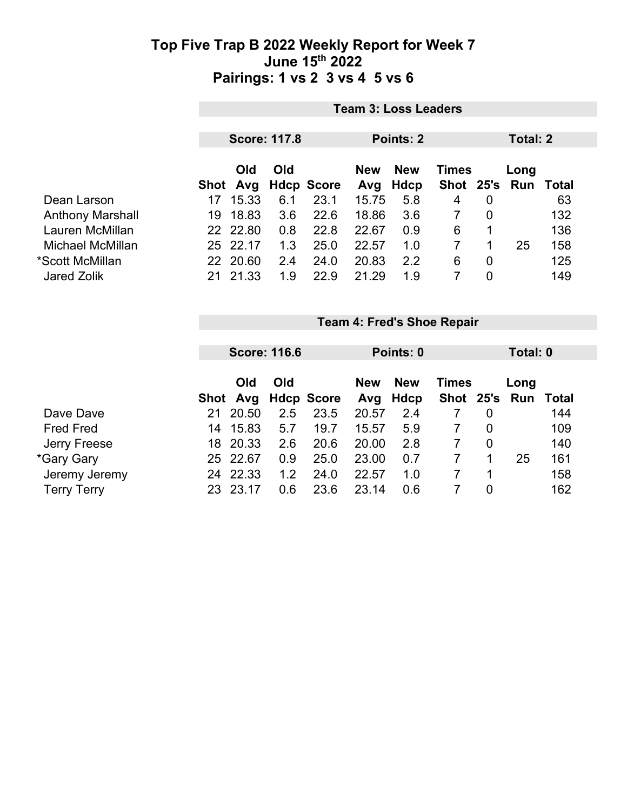|                         | <b>Team 3: Loss Leaders</b> |            |     |                   |            |            |              |                |                     |     |
|-------------------------|-----------------------------|------------|-----|-------------------|------------|------------|--------------|----------------|---------------------|-----|
|                         | <b>Score: 117.8</b>         |            |     |                   | Points: 2  | Total: 2   |              |                |                     |     |
|                         |                             | <b>Old</b> | Old |                   | <b>New</b> | <b>New</b> | <b>Times</b> |                | Long                |     |
|                         | Shot                        | Avg        |     | <b>Hdcp Score</b> | Avg        | Hdcp       |              |                | Shot 25's Run Total |     |
| Dean Larson             | 17                          | 15.33      | 6.1 | 23.1              | 15.75      | 5.8        | 4            | $\overline{0}$ |                     | 63  |
| <b>Anthony Marshall</b> | 19                          | 18.83      | 3.6 | 22.6              | 18.86      | 3.6        |              | $\overline{0}$ |                     | 132 |
| Lauren McMillan         |                             | 22 22.80   | 0.8 | 22.8              | 22.67      | 0.9        | 6            | 1              |                     | 136 |
| Michael McMillan        |                             | 25 22.17   | 1.3 | 25.0              | 22.57      | 1.0        |              | 1              | 25                  | 158 |
| *Scott McMillan         |                             | 22 20.60   | 2.4 | 24.0              | 20.83      | 2.2        | 6            | $\overline{0}$ |                     | 125 |
| <b>Jared Zolik</b>      | 21                          | 21.33      | 1.9 | 22.9              | 21.29      | 1.9        |              | $\overline{0}$ |                     | 149 |

|                    |      |          | <b>Score: 116.6</b> |                   | Points: 0  |            |               |   | Total: 0 |              |
|--------------------|------|----------|---------------------|-------------------|------------|------------|---------------|---|----------|--------------|
|                    |      |          |                     |                   |            |            |               |   |          |              |
|                    |      | Old      | Old                 |                   | <b>New</b> | <b>New</b> | <b>Times</b>  |   | Long     |              |
|                    | Shot | Avg      |                     | <b>Hdcp Score</b> | Avg        | Hdcp       | Shot 25's Run |   |          | <b>Total</b> |
| Dave Dave          | 21   | 20.50    | 2.5                 | 23.5              | 20.57      | 2.4        |               | 0 |          | 144          |
| <b>Fred Fred</b>   | 14   | 15.83    | 5.7                 | 19.7              | 15.57      | 5.9        |               | 0 |          | 109          |
| Jerry Freese       | 18   | 20.33    | 2.6                 | 20.6              | 20.00      | 2.8        |               | 0 |          | 140          |
| *Gary Gary         |      | 25 22.67 | 0.9                 | 25.0              | 23.00      | 0.7        |               |   | 25       | 161          |
| Jeremy Jeremy      | 24   | 22.33    | 1.2                 | 24.0              | 22.57      | 1.0        |               |   |          | 158          |
| <b>Terry Terry</b> | 23   | 23.17    | 0.6                 | 23.6              | 23.14      | 0.6        |               | 0 |          | 162          |

**Team 4: Fred's Shoe Repair**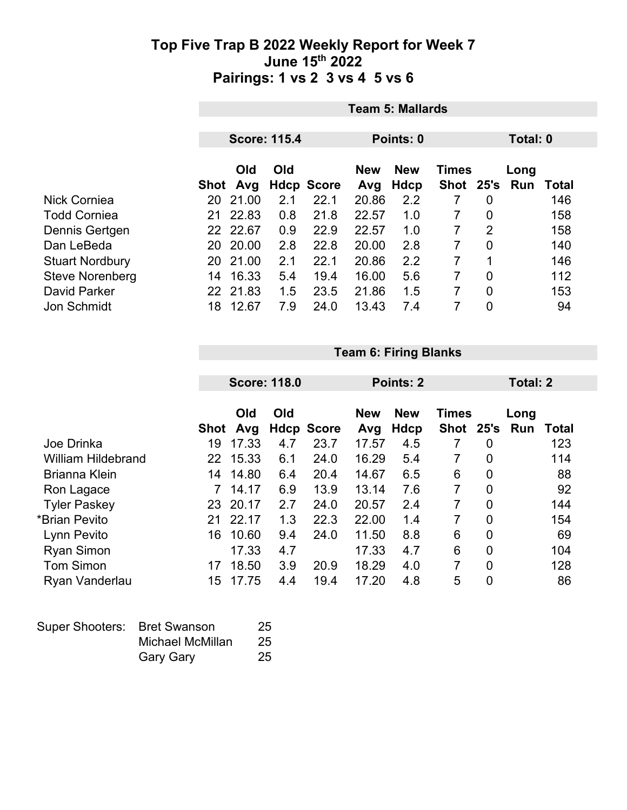|                        |            | <b>Team 5: Mallards</b> |                     |                   |            |              |               |                |  |       |  |
|------------------------|------------|-------------------------|---------------------|-------------------|------------|--------------|---------------|----------------|--|-------|--|
|                        |            |                         | <b>Score: 115.4</b> |                   | Points: 0  |              |               | Total: 0       |  |       |  |
|                        | Old<br>Old |                         |                     | <b>New</b>        | <b>New</b> | <b>Times</b> |               | Long           |  |       |  |
|                        | Shot       | Avg                     |                     | <b>Hdcp Score</b> | Avg        | Hdcp         | Shot 25's Run |                |  | Total |  |
| <b>Nick Corniea</b>    | 20         | 21.00                   | 2.1                 | 22.1              | 20.86      | 2.2          | 7             | 0              |  | 146   |  |
| <b>Todd Corniea</b>    | 21         | 22.83                   | 0.8                 | 21.8              | 22.57      | 1.0          | 7             | 0              |  | 158   |  |
| Dennis Gertgen         |            | 22 22.67                | 0.9                 | 22.9              | 22.57      | 1.0          | 7             | 2              |  | 158   |  |
| Dan LeBeda             | 20         | 20.00                   | 2.8                 | 22.8              | 20.00      | 2.8          |               | $\overline{0}$ |  | 140   |  |
| <b>Stuart Nordbury</b> | 20         | 21.00                   | 2.1                 | 22.1              | 20.86      | 2.2          | 7             | 1              |  | 146   |  |
| <b>Steve Norenberg</b> | 14         | 16.33                   | 5.4                 | 19.4              | 16.00      | 5.6          | 7             | 0              |  | 112   |  |
| <b>David Parker</b>    |            | 22 21.83                | 1.5                 | 23.5              | 21.86      | 1.5          | 7             | 0              |  | 153   |  |
| <b>Jon Schmidt</b>     | 18         | 12.67                   | 7.9                 | 24.0              | 13.43      | 7.4          | 7             | 0              |  | 94    |  |

**Team 6: Firing Blanks**

|                           |                 | <b>Score: 118.0</b> |     |                   |                   | <b>Points: 2</b>          |                             |                | Total: 2    |              |
|---------------------------|-----------------|---------------------|-----|-------------------|-------------------|---------------------------|-----------------------------|----------------|-------------|--------------|
|                           | <b>Shot</b>     | Old<br>Avg          | Old | <b>Hdcp Score</b> | <b>New</b><br>Avg | <b>New</b><br><b>Hdcp</b> | <b>Times</b><br><b>Shot</b> | 25's           | Long<br>Run | <b>Total</b> |
| Joe Drinka                | 19              | 17.33               | 4.7 | 23.7              | 17.57             | 4.5                       | 7                           | 0              |             | 123          |
| <b>William Hildebrand</b> | 22              | 15.33               | 6.1 | 24.0              | 16.29             | 5.4                       | 7                           | 0              |             | 114          |
| <b>Brianna Klein</b>      | 14              | 14.80               | 6.4 | 20.4              | 14.67             | 6.5                       | 6                           | $\overline{0}$ |             | 88           |
| Ron Lagace                |                 | 14.17               | 6.9 | 13.9              | 13.14             | 7.6                       | $\overline{7}$              | 0              |             | 92           |
| <b>Tyler Paskey</b>       | 23              | 20.17               | 2.7 | 24.0              | 20.57             | 2.4                       | 7                           | $\overline{0}$ |             | 144          |
| *Brian Pevito             | 21              | 22.17               | 1.3 | 22.3              | 22.00             | 1.4                       | 7                           | $\overline{0}$ |             | 154          |
| Lynn Pevito               | 16              | 10.60               | 9.4 | 24.0              | 11.50             | 8.8                       | 6                           | $\overline{0}$ |             | 69           |
| <b>Ryan Simon</b>         |                 | 17.33               | 4.7 |                   | 17.33             | 4.7                       | 6                           | 0              |             | 104          |
| <b>Tom Simon</b>          | 17              | 18.50               | 3.9 | 20.9              | 18.29             | 4.0                       | 7                           | $\overline{0}$ |             | 128          |
| Ryan Vanderlau            | 15 <sub>2</sub> | 17.75               | 4.4 | 19.4              | 17.20             | 4.8                       | 5                           | $\mathbf 0$    |             | 86           |

| Super Shooters: Bret Swanson |                  | 25  |
|------------------------------|------------------|-----|
|                              | Michael McMillan | -25 |
|                              | <b>Gary Gary</b> | 25  |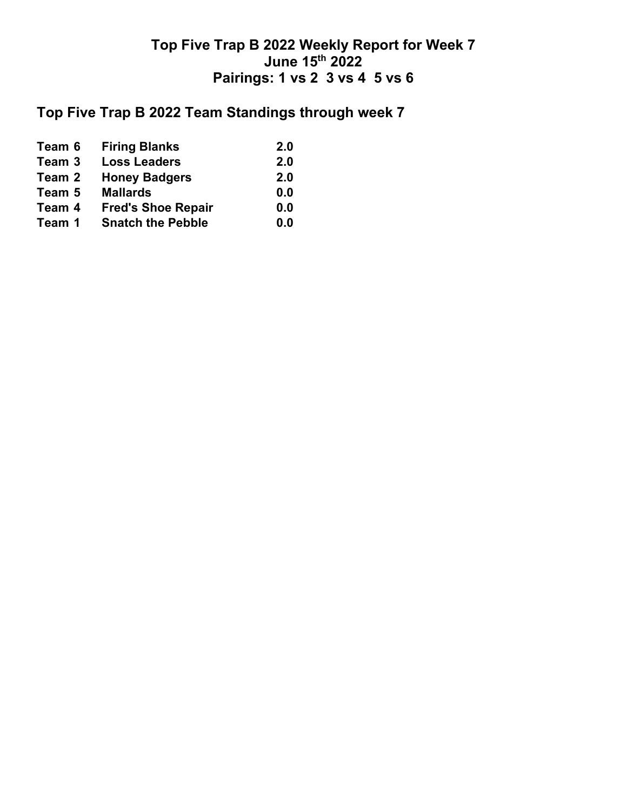# **Top Five Trap B 2022 Team Standings through week 7**

| <b>Firing Blanks</b>                                     | 2.0 |
|----------------------------------------------------------|-----|
| <b>Loss Leaders</b>                                      | 2.0 |
| <b>Honey Badgers</b>                                     | 2.0 |
| <b>Mallards</b>                                          | 0.0 |
| <b>Fred's Shoe Repair</b>                                | 0.0 |
| <b>Snatch the Pebble</b>                                 | 0.0 |
| Team 6<br>Team 3<br>Team 2<br>Team 5<br>Team 4<br>Team 1 |     |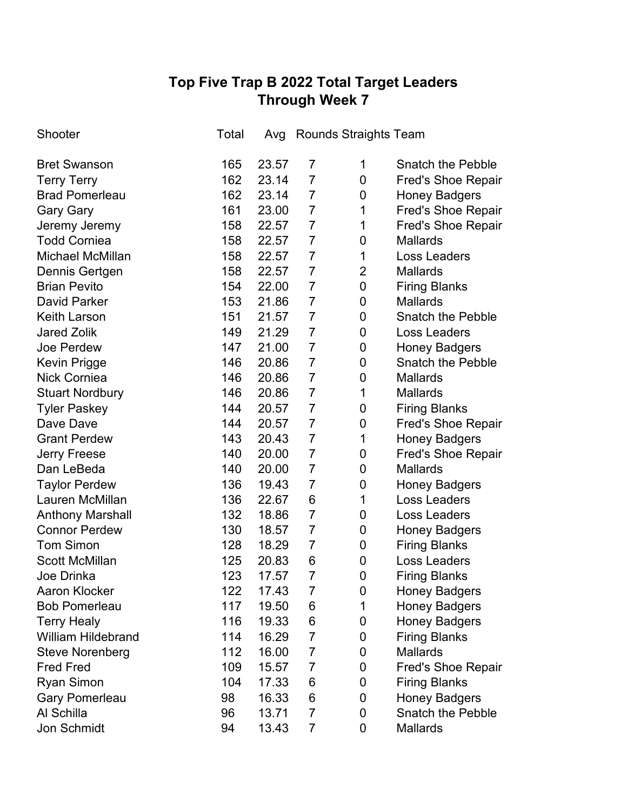# **Top Five Trap B 2022 Total Target Leaders Through Week 7**

| Shooter                   | Total | Avg   | Rounds Straights Team |                |                           |
|---------------------------|-------|-------|-----------------------|----------------|---------------------------|
| <b>Bret Swanson</b>       | 165   | 23.57 | 7                     | 1              | <b>Snatch the Pebble</b>  |
| <b>Terry Terry</b>        | 162   | 23.14 | $\overline{7}$        | 0              | <b>Fred's Shoe Repair</b> |
| <b>Brad Pomerleau</b>     | 162   | 23.14 | $\overline{7}$        | 0              | <b>Honey Badgers</b>      |
| <b>Gary Gary</b>          | 161   | 23.00 | $\overline{7}$        | 1              | <b>Fred's Shoe Repair</b> |
| Jeremy Jeremy             | 158   | 22.57 | $\overline{7}$        | 1              | <b>Fred's Shoe Repair</b> |
| <b>Todd Corniea</b>       | 158   | 22.57 | $\overline{7}$        | 0              | <b>Mallards</b>           |
| <b>Michael McMillan</b>   | 158   | 22.57 | $\overline{7}$        | 1              | Loss Leaders              |
| Dennis Gertgen            | 158   | 22.57 | $\overline{7}$        | $\overline{2}$ | <b>Mallards</b>           |
| <b>Brian Pevito</b>       | 154   | 22.00 | $\overline{7}$        | 0              | <b>Firing Blanks</b>      |
| David Parker              | 153   | 21.86 | $\overline{7}$        | 0              | <b>Mallards</b>           |
| <b>Keith Larson</b>       | 151   | 21.57 | $\overline{7}$        | 0              | <b>Snatch the Pebble</b>  |
| <b>Jared Zolik</b>        | 149   | 21.29 | $\overline{7}$        | 0              | Loss Leaders              |
| Joe Perdew                | 147   | 21.00 | $\overline{7}$        | 0              | <b>Honey Badgers</b>      |
| Kevin Prigge              | 146   | 20.86 | $\overline{7}$        | 0              | <b>Snatch the Pebble</b>  |
| <b>Nick Corniea</b>       | 146   | 20.86 | $\overline{7}$        | 0              | <b>Mallards</b>           |
| <b>Stuart Nordbury</b>    | 146   | 20.86 | $\overline{7}$        | 1              | <b>Mallards</b>           |
| <b>Tyler Paskey</b>       | 144   | 20.57 | $\overline{7}$        | 0              | <b>Firing Blanks</b>      |
| Dave Dave                 | 144   | 20.57 | $\overline{7}$        | 0              | <b>Fred's Shoe Repair</b> |
| <b>Grant Perdew</b>       | 143   | 20.43 | $\overline{7}$        | 1              | <b>Honey Badgers</b>      |
| <b>Jerry Freese</b>       | 140   | 20.00 | $\overline{7}$        | 0              | <b>Fred's Shoe Repair</b> |
| Dan LeBeda                | 140   | 20.00 | $\overline{7}$        | 0              | <b>Mallards</b>           |
| <b>Taylor Perdew</b>      | 136   | 19.43 | $\overline{7}$        | 0              | <b>Honey Badgers</b>      |
| Lauren McMillan           | 136   | 22.67 | 6                     | 1              | <b>Loss Leaders</b>       |
| <b>Anthony Marshall</b>   | 132   | 18.86 | $\overline{7}$        | 0              | Loss Leaders              |
| <b>Connor Perdew</b>      | 130   | 18.57 | $\overline{7}$        | 0              | <b>Honey Badgers</b>      |
| <b>Tom Simon</b>          | 128   | 18.29 | $\overline{7}$        | 0              | <b>Firing Blanks</b>      |
| <b>Scott McMillan</b>     | 125   | 20.83 | 6                     | 0              | <b>Loss Leaders</b>       |
| Joe Drinka                | 123   | 17.57 | $\overline{7}$        | 0              | <b>Firing Blanks</b>      |
| <b>Aaron Klocker</b>      | 122   | 17.43 | 7                     | 0              | <b>Honey Badgers</b>      |
| <b>Bob Pomerleau</b>      | 117   | 19.50 | 6                     | 1              | <b>Honey Badgers</b>      |
| <b>Terry Healy</b>        | 116   | 19.33 | 6                     | 0              | <b>Honey Badgers</b>      |
| <b>William Hildebrand</b> | 114   | 16.29 | $\overline{7}$        | 0              | <b>Firing Blanks</b>      |
| <b>Steve Norenberg</b>    | 112   | 16.00 | $\overline{7}$        | 0              | <b>Mallards</b>           |
| <b>Fred Fred</b>          | 109   | 15.57 | $\overline{7}$        | 0              | <b>Fred's Shoe Repair</b> |
| <b>Ryan Simon</b>         | 104   | 17.33 | 6                     | 0              | <b>Firing Blanks</b>      |
| <b>Gary Pomerleau</b>     | 98    | 16.33 | 6                     | 0              | <b>Honey Badgers</b>      |
| Al Schilla                | 96    | 13.71 | $\overline{7}$        | 0              | <b>Snatch the Pebble</b>  |
| Jon Schmidt               | 94    | 13.43 | $\overline{7}$        | 0              | Mallards                  |